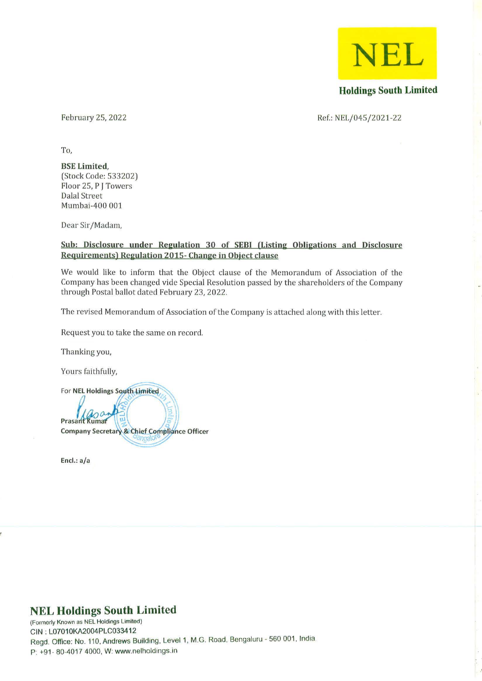**NEL** 

Holdings South Limited

February 25, 2022

Ref.: NEL/045/2021-22

To,

#### BSE Limited, (Stock Code: 533202) Floor 25, P J Towers Dalal Street Mumbai-400 001

Dear Sir/Madam,

# Sub: Disclosure under Regulation 30 of SEBI (Listing Obligations and Disclosure Requirements) Regulation 2015- Change in Object clause

We would like to inform that the Object clause of the Memorandum of Association of the Company has been changed vide Special Resolution passed by the shareholders of the Company through Postal ballot dated February 23, 2022.

The revised Memorandum of Association of the Company is attached along with this letter.

Request you to take the same on record.

Thanking you,

Yours faithfully,

For NEL Holdings South Limited

Prasant Rumar **Company Secretary & Chief Compliance Officer** 

Encl.: *ala* 

# NEL Holdings South Limited

(Formerly Known as NEL Holdings Limited) GIN : L07010KA2004PLG033412 Regd. Office: No. 110. Andrews Building. Level 1. M.G. Road. Bengaluru - 560 001. India P: +91- 80-4017 4000, W: www.nelholdings.in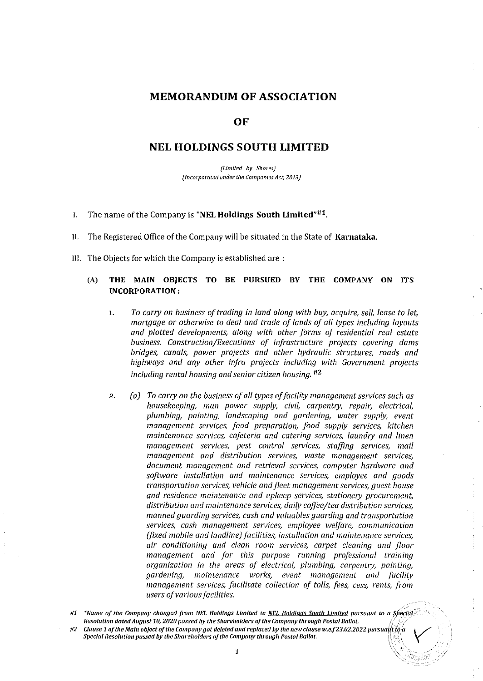# **MEMORANDUM OF ASSOCIATION**

### **OF**

# **NEL HOLDINGS SOUTH LIMITED**

*(Limited by Shares) (Incorporated under the Companies Act, 2013)* 

- I. The name of the Company is **"NEL Holdings South Limited"#l.**
- I!. The Registered Office of the Company will be situated in the State of **Karnataka.**
- III. The Objects for which the Company is established are:

#### (A) **THE MAIN OBJECTS TO BE PURSUED BY THE COMPANY ON ITS INCORPORATION:**

- *1. To carry on business of trading in land along with buy, acquire, sel/, lease to let, mortgage or otherwise to deal and trade of lands of all types including layouts and plotted developments, along with other forms of residential real estate business. Construction/Executions of infrastructure projects covering dams bridges, canals, power projects and other hydraulic* structure5~ *roads and highways and any other infra projects including with Government projects including rental housing and senior citizen housing. #2*
- 2. *(a) To carry on the business of all types of facility management services such as housekeeping, man power supply, civil, carpentry, repair, electrical, plumbing, painting, landscaping and gardening, water supply, event management services, food preparation, food supply services, kitchen maintenance services, cafeteria and catering services, laundry and linen management services, pest control services, staffing services, mail management and distribution services, waste management services, document management and retrieval services, computer hardware and software installation and maintenance services, employee and goods transportation services, vehicle and fleet management services, guest house and residence maintenance and upkeep services, stationery procurement, distribution and maintenance services, daily coffee/tea distribution services, manned guarding* service5~ *cash and valuables guarding and transportation services, cash management services, employee welfare, communication (fixed mobile and landline) facilities, installation and maintenance services, air conditioning and clean room services, carpet cleaning and floor management and for this purpose running professional training organization in the areas of electrical, plumbing, carpentry, painting, gardening, maintenance* work,~ *event management and facility management services, facilitate collection of tolls, fees, cess, rents, from users of various facilities.*

 $#1$  \*Name of the Company changed from NEL Holdings Limited to NEL Holdings South Limited pursuant to a Special *Resolution dated August 10, 2020 passed by the Shareholders of the Company through Postal Ballot. #2* Clause 1 of the Main object of the Company got deleted and replaced by the new clause w.e.f 23.02.2022 pursuant to a *Special Resolution passed by the Shareholders of the Company through Postal Ballot.*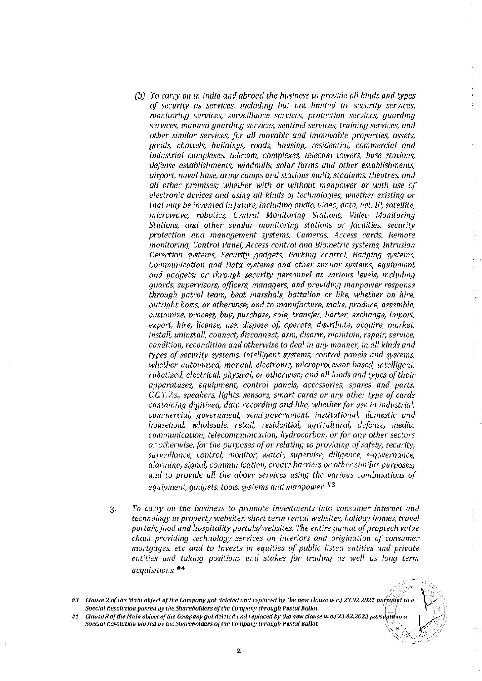- *(b) To carty on in India and abroad the business to provide all kinds and types of security as services, including but not limited to, security services, monitoring services, surveillance services, protection services, guarding services, manned guarding services, sentinel services, training services, and other similar services, for all movable and immovable properties, assets, goods, chattels, buildings, roads, hoUSing, residential, commercial and industrial complexes, telecom, complexes, telecom towers, base stations, defense establishments, windmills, solar farms and other establishments, airport, naval base, army camps and stations malls, stadiums, theatres, and all other premises; whether with or without manpower or with use of electronic devices and using all kinds of technologies, whether existing or that may be invented in future, including audio, video, data, net, IP, satellite, microwave, robotics, Central Monitoring Stations, Video Monitoring Stations, and other similar monitoring stations or facilities; security protection and management systems; Cameras; Access cards, Remote monitoring, Control Panel, Access control and Biometric systems, Intrusion Detection systems, Security gadgets, Parking control, Badging systems, Communication and Data systems and other similar systems, equipment and gadgets; or through security personnel at various levels, including guards, supervisors, officers, managers, and providing manpower response through patrol team, beat marshals, battalion or like, whether on hire, outright basis, or otherwise; and to manufacture, make, produce, assemble, customize, process, buy, purchase, sale, transier, barter, exchange, import, export, hire, license, use, dispose oj, operate, distribute, acquire, market, instal/, un instal/, connect, disconnect, arm, disarm, maintain, repair, service, condition, recondition and otherwise to deal in any manner, in all kinds and types of security systems, intelligent systems, control panels and systems, whether automated, manual, electronic, microprocessor based, intelligent, robotized, electrical, physical, or othervvise; and all kinds and types of their apparatuses, equipment; control panels, accessories, spares and parts,*  e.e. *T. v.s., speakers, lights, sensors, smart cards or any other type of cards containing digitized, data recording and like, whether for use in industrial, commercial, government, semi-government, institutional, domestic and household, wholesale, retail, residential, agricultural, defense, media, communication, telecommunication, hydrocarbon, or for any other sectors or otherwise, for the purposes of or relating to providing of safety, security, surveillance, control, monitor, watch, supervise, diligence, e-governance, alarming, signal, communication, create barriers or other similar purposes; and to provide all the above services using the various combinations of equipment, gadgets; tools, systems and manpower. #3*
- *3. To carryon the business to promote investments into consumer internet and technology in property websites, short term rental websites; holiday homes, travel*  portals, food and hospitality portals/websites. The entire gamut of proptech value *chain providing technology services on interiors and origination of consumer mortgages, etc and to Invests in equities of public listed entities and private*  entities and taking positions and stakes for trading as well as long term *acquisitions. #4*

\_`\\\\_*\\$\*#

 $\widetilde{\mathbb{X}}$  .

 $\frac{1}{3}$  $\frac{1}{4}$ 

 $\ddot{\phantom{a}}$ 

*1M Clause.1 of tile Main object oItlle Company got deleted and replaced by tile new clause w.l!.f23.02.2022* Plirst/{J~:f~o *a Special Resolution passed by the Shareholders of the Company through Postal Ballot.* 

<sup>/;&</sup>gt;:::::.:;'::',':- *113 Clause* **2** *of tile Main object of tile Company got deleted and replaced by tile new clause w,e.[23.02.2022* putf>\_~ar *to a*   $Special Resolution$  passed by the Shareholders of the Company through Postal Ballot.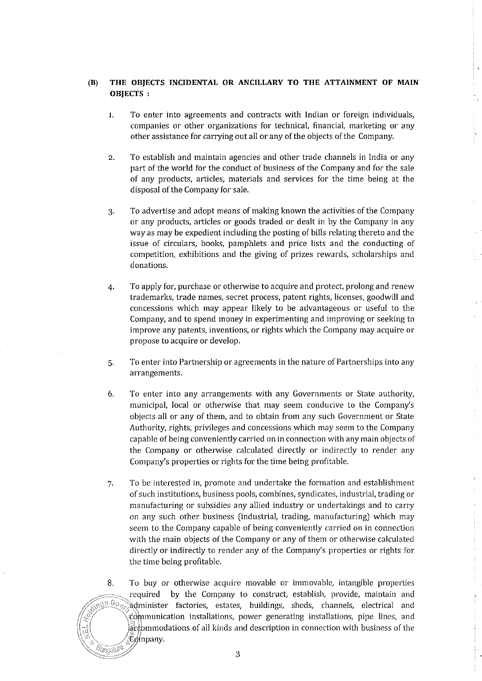# **(B) THE OBJECTS INCIDENTAL OR ANCILLARY TO THE ATTAINMENT OF MAIN OBJECTS:**

- 1. To enter into agreements and contracts with Indian or foreign individuals, companies or other organizations for technical, financial, marketing or any other assistance for carrying out all or any of the objects of the Company.
- 2. To establish and maintain agencies and other trade channels in India or any part of the world for the conduct of business of the Company and for the sale of any products, articles, materials and services for the time being at the disposal of the Company for sale.
- 3. To advertise and adopt means of making known the activities of the Company or any products, articles or goods traded or dealt in by the Company in any way as may be expedient including the posting of bills relating thereto and the issue of circulars, books, pamphlets and price lists and the conducting of competition, exhibitions and the giving of prizes rewards, scholarships and donations.
- 4. To apply for, purchase or otherwise to acquire and protect, prolong and renew trademarks, trade names, secret process, patent rights, licenses, goodwill and concessions which may appear likely to be advantageous or useful to the Company, and to spend money in experimenting and improving or seeking to improve any patents, inventions, or rights which the Company may acquire or propose to acquire or develop.
- 5. To enter into Partnership or agreements in the nature of Partnerships into any **arrangements.**
- 6. To enter into any arrangements with any Governments or State authority, municipal, local or otherwise that may seem conducive to the Company's objects all or any of them, and to obtain from any such Government or State Authority, rights, privileges and concessions which may seem to the Company capable of being conveniently carried on in connection with any main objects of the Company or otherwise calculated directly or indirectly to render any Company's properties or rights for the time being profitable.
- 7. To be interested in, promote and undertake the formation and establishment of such institutions, business pools, combines, syndicates, industrial, trading or manufacturing or subsidies any allied industry or undertakings and to carry on any such other business (industrial, trading, manufacturing) which may seem to the Company capable of being conveniently carried on in connection with the main objects of the Company or any of them or otherwise calculated directly or indirectly to render any of the Company's properties or rights for the time being profitable.

8. To buy or otherwise acquire movable or immovable, intangible properties required by the Company to construct, establish, provide, maintain and  $\alpha$ <sup>5  $\beta$ </sup>o<sub>z</sub>. Administer factories, estates, buildings, sheds, channels, electrical and red in factories, estates, buildings, sheds, channels, electrical and  $$\mathfrak{c}$$  ommunication installations, power generating installations, pipe lines, and  $\mathcal{R}$  )  $\mathcal{R}$  )  $\mathcal{R}$  is detailed and description in connection with business of the  $\mathfrak C$ ø'npany. 'angalor<sup>o</sup>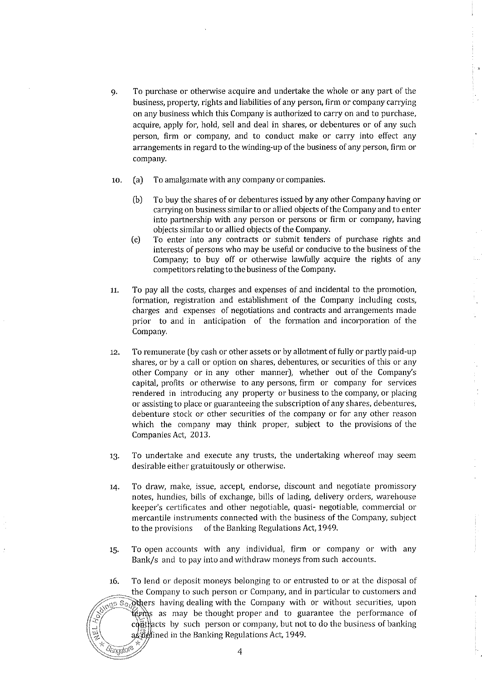- 9. To purchase or otherwise acquire and undertake the whole or any part of the business, property, rights and liabilities of any person, firm or company carrying on any business which this Company is authorized to carryon and to purchase, acquire, apply for, hold, sell and deal in shares, or debentures or of any such person, firm or company, and to conduct make or carry into effect any arrangements in regard to the winding-up of the business of any person, firm or company.
- 10. (a) To amalgamate with any company or companies.
	- (b) To buy the shares of or debentures issued by any other Company having or carrying on business similarto or allied objects of the Company and to enter into partnership with any person or persons or firm or company, having objects similar to or allied objects of the Company.
	- (e) To enter into any contracts or submit tenders of purchase rights and interests of persons who may be useful or conducive to the business of the Company; to buy off or otherwise lawfully acquire the rights of any competitors relating to the business of the Company.
- 11. To pay all the costs, charges and expenses of and incidental to the promotion, formation, registration and establishment of the Company including costs, charges and expenses of negotiations and contracts and arrangements made prior to and in anticipation of the formation and incorporation of the Company.
- 12. To remunerate (by cash or other assets or by allotment of fully or partly paid-up shares, or by a call or option on shares, debentures, or securities of this or any other Company or in any other manner), whether out of the Company's capital, profits or otherwise to any persons, firm or company for services rendered in introducing any property or business to the company, or placing or assisting to place or guaranteeing the subscription of any shares, debentures, debenture stock or other securities of the company or for any other reason which the company may think proper, subject to the provisions of the Companies Act, 2013.

 $\bar{\Sigma}$  $\frac{1}{2}$ 

- 13. To undertake and execute any trusts, the undertaking whereof may seem desirable either gratuitously or otherwise.
- 14. To draw, make, issue, accept, endorse, discount and negotiate promissory notes, hundies, bills of exchange, bills of lading, delivery orders, warehouse keeper's certificates and other negotiable, quasi- negotiable, commercial or mercantile instruments connected with the business of the Company, subject to the provisions of the Banking Regulations Act, 1949.
- 15. To open accounts with any individual, firm or company or with any Bank/s and to pay into and withdraw moneys from such accounts.
- 16. To lend or deposit moneys belonging to or entrusted to or at the disposal of the Company to such person or Company, and in particular to customers and  $\widehat{\mathcal{L}}$  and  $\widehat{\mathcal{L}}$  and  $\widehat{\mathcal{L}}$  are  $\widehat{\mathcal{L}}$  and  $\widehat{\mathcal{L}}$  as may be thought proper and to guarantee the performance of complete the performance of complete the performance of complete the performance of  $a_2$ *l*  $\frac{1}{2}$  in the Banking Regulations Act, 1949.  $\ell$ angalo $\ell$  4

" "Your managery and selected the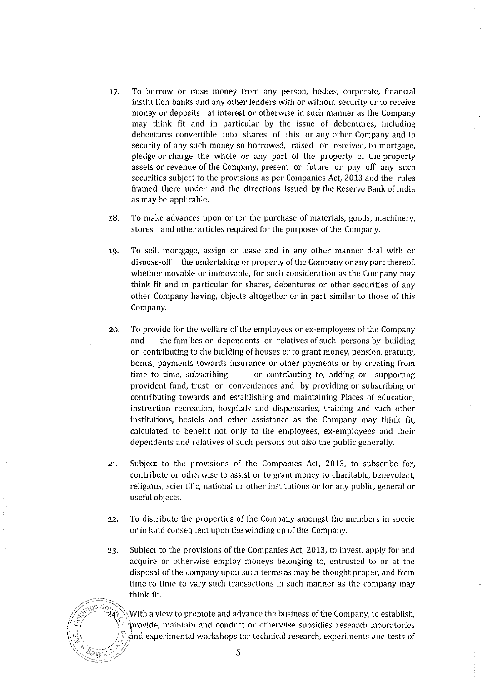- 17. To borrow or raise money from any person, bodies, corporate, financial institution banks and any other lenders with or without security or to receive money or deposits at interest or otherwise in such manner as the Company may think fit and in particular by the issue of debentures, including debentures convertible into shares of this or any other Company and in security of any such money so borrowed, raised or received, to mortgage, pledge or charge the whole or any part of the property of the property assets or revenue of the Company, present or future or pay off any such securities subject to the provisions as per Companies Act, 2013 and the rules framed there under and the directions issued by the Reserve Bank of India as may be applicable.
- 18. To make advances upon or for the purchase of materials, goods, machinery, stores and other articles required for the purposes of the Company.
- 19. To sell, mortgage, assign or lease and in any other manner deal with or dispose-off the undertaking or property of the Company or any part thereof, whether movable or immovable, for such consideration as the Company may think fit and in particular for shares, debentures or other securities of any other Company having, objects altogether or in part similar to those of this Company.
- 20. To provide for the welfare of the employees or ex-employees of the Company and the families or dependents or relatives of such persons by building or contributing to the building of houses or to grant money, pension, gratuity, bonus, payments towards insurance or other payments or by creating from time to time, subscribing or contributing to, adding or supporting provident fund, trust or conveniences and by providing or subscribing or contributing towards and establishing and maintaining Places of education, instruction recreation, hospitals and dispensaries, training and such other institutions, hostels and other assistance as the Company may think fit, calculated to benefit not only to the employees, ex-employees and their dependents and relatives of such persons but also the public generally.
- 21. Subject to the provisions of the Companies Act, 2013, to subscribe for, contribute or otherwise to assist or to grant money to charitable, benevolent, religious, scientific, national or other institutions or for any public, general or useful objects.
- 22. To distribute the properties of the Company amongst the members in specie or in kind consequent upon the winding up of the Company.
- 23. Subject to the provisions of the Companies Act, 2013, to invest, apply for and acquire or otherwise employ moneys belonging to, entrusted to or at the disposal of the company upon such terms as may be thought proper, and from time to time to vary such transactions in such manner as the company may think fit.



 $\frac{1}{2}\frac{S_{O}}{24}$  With a view to promote and advance the business of the Company, to establish, *i* provide, maintain and conduct or otherwise subsidies research laboratories  $\frac{1000}{2}$  and experimental workshops for technical research, experiments and tests of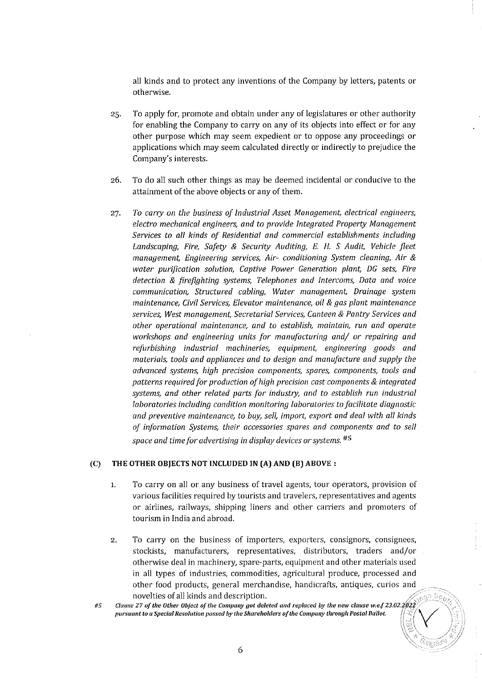all kinds and to protect any inventions of the Company by letters, patents or otherwise.

- 25. To apply for, promote and obtain under any of legislatures or other authority for enabling the Company to carry on any of its objects into effect or for any other purpose which may seem expedient or to oppose any proceedings or applications which may seem calculated directly or indirectly to prejudice the Company's interests.
- 26. To do all such other things as may be deemed incidental or conducive to the attainment of the above objects or any of them.
- *27. To carry on the business of Industrial Asset Management, electrical engineers, electro mechanical engineers, and to provide Integrated Property Management Services to all kinds of Residential and commercial establishments including Landscaping, Fire, Safety* & *Security Auditing,* E. *H.* S *Audit, Vehicle fleet management, Engineering services, Air- conditioning System cleaning, Air* & *water purification solution, Captive Power Generation plant, DG sets, Fire detection* & *firefighting systems, Telephones and Intercoms, Data and voice communication, Structured cabling, Water management, Drainage system maintenance, Civil Services, Elevator maintenance, oil* & *gas plant maintenance services, West management, Secretarial Services, Canteen* & *Pantry Services and other operational maintenance, and to establish, maintain, run and operate workshops and engineering units for manufacturing and/ or repairing and refurbishing industrial machinerie;; equipment, engineering goods and materials, tools and appliances and to design and manufacture and supply the advanced systems, high precision components, spares, components, tools and patterns required for production of high precision cast components* & *integrated*   $s$ ystems, and other related parts for industry, and to establish run industrial *laboratories including condition monitoring laboratories to facilitate diagnostic and preventive maintenance, to buy, sel/, import, export and deal with all kinds of information Systems, their accessories spares and components and to sell space and time for advertising in display devices or systems. #5*

#### **(C) THE OTHER OBJECTS NOT INCLUDED IN (A) AND (B) ABOVE:**

- 1. To carryon all or any business of travel agents, tour operators, provision of various facilities required by tourists and travelers, representatives and agents or airlines, railways, shipping liners and other carriers and promoters of tourism in India and abroad.
- 2. To carry on the business of importers, exporters, consignors, consignees, stockists, manufacturers, representatives, distributors, traders and/or otherwise deal in machinery, spare-parts, equipment and other materials used in all types of industries, commodities, agricultural produce, processed and other food products, general merchandise, handicrafts, antiques, curios and novelties of all kinds and description.

 $\mathbb{R} \setminus \mathbb{R}$  $\sqrt{\frac{1}{n}}$ 

#5

 $\frac{1}{2}$  (lovel ties of all Killus and description).<br>Clause 27 of the Other Object of the Company got deleted and replaced by the new clause w.e.f 23.02.2022<br>pursuant to a Special Resolution passed by the Shareholders of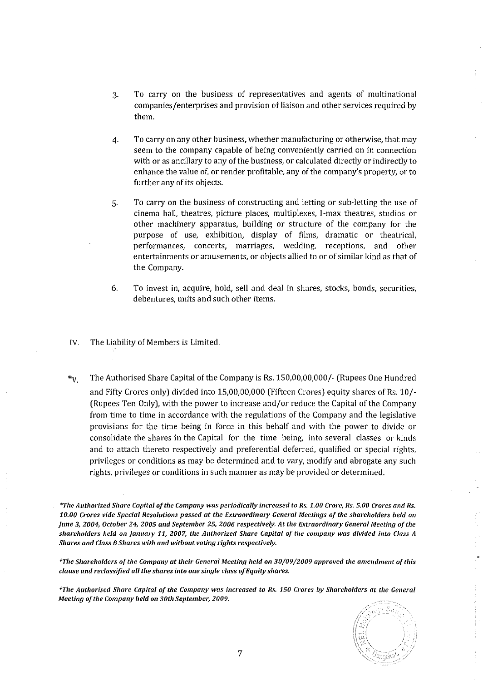- 3. To carryon the business of representatives and agents of multinational companies/enterprises and provision of liaison and other services required by them.
- 4. To carryon any other business, whether manufacturing or otherwise, that may seem to the company capable of being conveniently carried on in connection with or as ancillary to any of the business, or calculated directly or indirectly to enhance the value of, or render profitable, any of the company's property, or to further any of its objects.
- 5. To carryon the business of constructing and letting or sub-letting the use of cinema hall, theatres, picture places, multiplexes, I-max theatres, studios or other machinery apparatus, building or structure of the company for the purpose of use, exhibition, display of films, dramatic or theatrical. performances, concerts, marriages, wedding, receptions, and other entertainments or amusements, or objects allied to or of similar kind as that of the Company.
- 6. To invest in, acquire, hold, sell and deal in shares, stocks, bonds, securities, debentures, units and such other items.
- IV. The Liability of Members is Limited.
- *\*v.* The Authorised Share Capital of the Company is Rs. 150,00,00,000/- (Rupees One Hundred and Fifty Crores only) divided into 15,00,00,000 (Fifteen Crores) equity shares ofRs. 10/- (Rupees Ten Only), with the power to increase and/or reduce the Capital of the Company from time to time in accordance with the regulations of the Company and the legislative provisions for the time being in force in this behalf and with the power to divide or consolidate the shares in the Capital for the time being, into several classes or kinds and to attach thereto respectively and preferential deferred, qualified or special rights, privileges or conditions as may be determined and to vary, modify and abrogate any such rights, privileges or conditions in such manner as may be provided or determined.

*\*The Authorized Share Capital o/the Company was periodically increased to Rs. 1.00 Crore, Rs. 5.00 Crores and Rs.*  10.00 Crores vide Special Resolutions passed at the Extraordinary General Meetings of the shareholders held on *June* **3,** *2004, October* **24,** *2005 and September* **25,** *2006 respectively. At the Extraordinmy General Meeting of the shareholders held on January 11, 2007, the Authorized Share Capital of the company was divided into Class A Shares and Class B Shares with and without voting rights respectively.* 

*\*The Shareholders oJ the Company at their General Meeting held* **on** *30/09/2009 approved the amendment o/this clause and reclassified all the shares into one single class o/HquiLy shares.* 

*"'The Authorised Share Capital* **0/** *tile Company was increased to Rs. 150 C,.ores by Shareholders at tile General Meeting of the Company held on 30th September, 2009.*